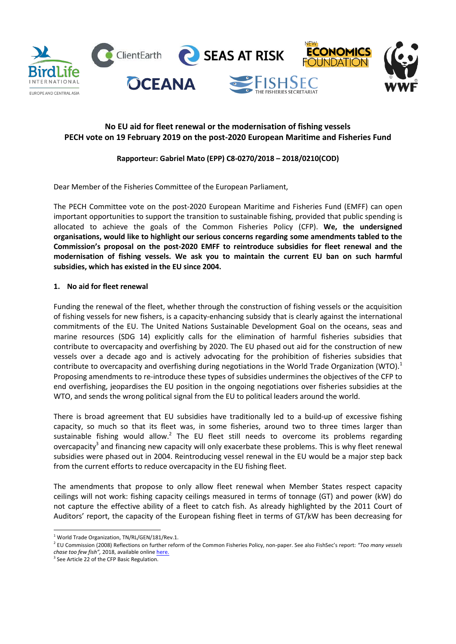

# **No EU aid for fleet renewal or the modernisation of fishing vessels PECH vote on 19 February 2019 on the post-2020 European Maritime and Fisheries Fund**

# **Rapporteur: Gabriel Mato (EPP) C8-0270/2018 – 2018/0210(COD)**

Dear Member of the Fisheries Committee of the European Parliament,

The PECH Committee vote on the post-2020 European Maritime and Fisheries Fund (EMFF) can open important opportunities to support the transition to sustainable fishing, provided that public spending is allocated to achieve the goals of the Common Fisheries Policy (CFP). **We, the undersigned organisations, would like to highlight our serious concerns regarding some amendments tabled to the Commission's proposal on the post-2020 EMFF to reintroduce subsidies for fleet renewal and the modernisation of fishing vessels. We ask you to maintain the current EU ban on such harmful subsidies, which has existed in the EU since 2004.**

## **1. No aid for fleet renewal**

Funding the renewal of the fleet, whether through the construction of fishing vessels or the acquisition of fishing vessels for new fishers, is a capacity-enhancing subsidy that is clearly against the international commitments of the EU. The United Nations Sustainable Development Goal on the oceans, seas and marine resources (SDG 14) explicitly calls for the elimination of harmful fisheries subsidies that contribute to overcapacity and overfishing by 2020. The EU phased out aid for the construction of new vessels over a decade ago and is actively advocating for the prohibition of fisheries subsidies that contribute to overcapacity and overfishing during negotiations in the World Trade Organization (WTO).<sup>1</sup> Proposing amendments to re-introduce these types of subsidies undermines the objectives of the CFP to end overfishing, jeopardises the EU position in the ongoing negotiations over fisheries subsidies at the WTO, and sends the wrong political signal from the EU to political leaders around the world.

There is broad agreement that EU subsidies have traditionally led to a build-up of excessive fishing capacity, so much so that its fleet was, in some fisheries, around two to three times larger than sustainable fishing would allow.<sup>2</sup> The EU fleet still needs to overcome its problems regarding overcapacity<sup>3</sup> and financing new capacity will only exacerbate these problems. This is why fleet renewal subsidies were phased out in 2004. Reintroducing vessel renewal in the EU would be a major step back from the current efforts to reduce overcapacity in the EU fishing fleet.

The amendments that propose to only allow fleet renewal when Member States respect capacity ceilings will not work: fishing capacity ceilings measured in terms of tonnage (GT) and power (kW) do not capture the effective ability of a fleet to catch fish. As already highlighted by the 2011 Court of Auditors' report, the capacity of the European fishing fleet in terms of GT/kW has been decreasing for

 $1$  World Trade Organization, TN/RL/GEN/181/Rev.1.

<sup>&</sup>lt;sup>2</sup> EU Commission (2008) Reflections on further reform of the Common Fisheries Policy, non-paper. See also FishSec's report: "Too many vessels *chaƐe ƚoo feǁ fiƐh͕͟* 2018, available online here.

<sup>&</sup>lt;sup>3</sup> See Article 22 of the CFP Basic Regulation.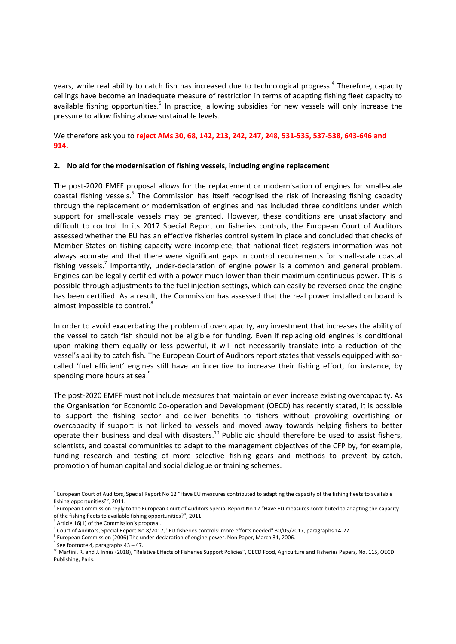years, while real ability to catch fish has increased due to technological progress.<sup>4</sup> Therefore, capacity ceilings have become an inadequate measure of restriction in terms of adapting fishing fleet capacity to available fishing opportunities.<sup>5</sup> In practice, allowing subsidies for new vessels will only increase the pressure to allow fishing above sustainable levels.

We therefore ask you to **reject AMs 30, 68, 142, 213, 242, 247, 248, 531-535, 537-538, 643-646 and 914.**

#### **2. No aid for the modernisation of fishing vessels, including engine replacement**

The post-2020 EMFF proposal allows for the replacement or modernisation of engines for small-scale coastal fishing vessels.<sup>6</sup> The Commission has itself recognised the risk of increasing fishing capacity through the replacement or modernisation of engines and has included three conditions under which support for small-scale vessels may be granted. However, these conditions are unsatisfactory and difficult to control. In its 2017 Special Report on fisheries controls, the European Court of Auditors assessed whether the EU has an effective fisheries control system in place and concluded that checks of Member States on fishing capacity were incomplete, that national fleet registers information was not always accurate and that there were significant gaps in control requirements for small-scale coastal fishing vessels.<sup>7</sup> Importantly, under-declaration of engine power is a common and general problem. Engines can be legally certified with a power much lower than their maximum continuous power. This is possible through adjustments to the fuel injection settings, which can easily be reversed once the engine has been certified. As a result, the Commission has assessed that the real power installed on board is almost impossible to control.<sup>8</sup>

In order to avoid exacerbating the problem of overcapacity, any investment that increases the ability of the vessel to catch fish should not be eligible for funding. Even if replacing old engines is conditional upon making them equally or less powerful, it will not necessarily translate into a reduction of the vessel's ability to catch fish. The European Court of Auditors report states that vessels equipped with socalled 'fuel efficient' engines still have an incentive to increase their fishing effort, for instance, by spending more hours at sea.<sup>9</sup>

The post-2020 EMFF must not include measures that maintain or even increase existing overcapacity. As the Organisation for Economic Co-operation and Development (OECD) has recently stated, it is possible to support the fishing sector and deliver benefits to fishers without provoking overfishing or overcapacity if support is not linked to vessels and moved away towards helping fishers to better operate their business and deal with disasters.<sup>10</sup> Public aid should therefore be used to assist fishers, scientists, and coastal communities to adapt to the management objectives of the CFP by, for example, funding research and testing of more selective fishing gears and methods to prevent by-catch, promotion of human capital and social dialogue or training schemes.

<sup>&</sup>lt;sup>4</sup> European Court of Auditors, Special Report No 12 "Have EU measures contributed to adapting the capacity of the fishing fleets to available fishing opportunities?", 2011.

<sup>&</sup>lt;sup>5</sup> European Commission reply to the European Court of Auditors Special Report No 12 "Have EU measures contributed to adapting the capacity of the fishing fleets to available fishing opportunities?", 2011.

<sup>&</sup>lt;sup>6</sup> Article 16(1) of the Commission's proposal.<br><sup>7</sup> Court of Auditors, Special Report No 8/2017, "EU fisheries controls: more efforts needed" 30/05/2017, paragraphs 14-27.<br><sup>8</sup> European Commission (2006) The under-declarat

<sup>&</sup>lt;sup>9</sup> See footnote 4, paragraphs 43 – 47.<br><sup>10</sup> Martini, R. and J. Innes (2018), "Relative Effects of Fisheries Support Policies", OECD Food, Agriculture and Fisheries Papers, No. 115, OECD Publishing, Paris.